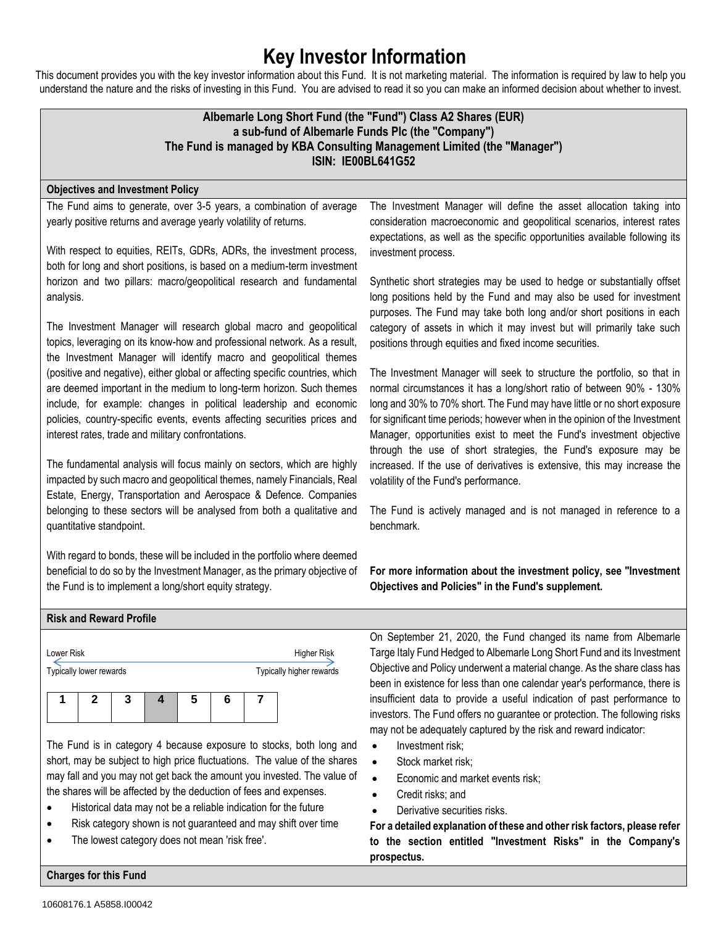# **Key Investor Information**

This document provides you with the key investor information about this Fund. It is not marketing material. The information is required by law to help you understand the nature and the risks of investing in this Fund. You are advised to read it so you can make an informed decision about whether to invest.

## **Albemarle Long Short Fund (the "Fund") Class A2 Shares (EUR) a sub-fund of Albemarle Funds Plc (the "Company") The Fund is managed by KBA Consulting Management Limited (the "Manager") ISIN: IE00BL641G52**

#### **Objectives and Investment Policy**

The Fund aims to generate, over 3-5 years, a combination of average yearly positive returns and average yearly volatility of returns.

With respect to equities, REITs, GDRs, ADRs, the investment process, both for long and short positions, is based on a medium-term investment horizon and two pillars: macro/geopolitical research and fundamental analysis.

The Investment Manager will research global macro and geopolitical topics, leveraging on its know-how and professional network. As a result, the Investment Manager will identify macro and geopolitical themes (positive and negative), either global or affecting specific countries, which are deemed important in the medium to long-term horizon. Such themes include, for example: changes in political leadership and economic policies, country-specific events, events affecting securities prices and interest rates, trade and military confrontations.

The fundamental analysis will focus mainly on sectors, which are highly impacted by such macro and geopolitical themes, namely Financials, Real Estate, Energy, Transportation and Aerospace & Defence. Companies belonging to these sectors will be analysed from both a qualitative and quantitative standpoint.

With regard to bonds, these will be included in the portfolio where deemed beneficial to do so by the Investment Manager, as the primary objective of the Fund is to implement a long/short equity strategy.

The Investment Manager will define the asset allocation taking into consideration macroeconomic and geopolitical scenarios, interest rates expectations, as well as the specific opportunities available following its investment process.

Synthetic short strategies may be used to hedge or substantially offset long positions held by the Fund and may also be used for investment purposes. The Fund may take both long and/or short positions in each category of assets in which it may invest but will primarily take such positions through equities and fixed income securities.

The Investment Manager will seek to structure the portfolio, so that in normal circumstances it has a long/short ratio of between 90% - 130% long and 30% to 70% short. The Fund may have little or no short exposure for significant time periods; however when in the opinion of the Investment Manager, opportunities exist to meet the Fund's investment objective through the use of short strategies, the Fund's exposure may be increased. If the use of derivatives is extensive, this may increase the volatility of the Fund's performance.

The Fund is actively managed and is not managed in reference to a benchmark.

**For more information about the investment policy, see "Investment Objectives and Policies" in the Fund's supplement.**

#### **Risk and Reward Profile**

| Lower Risk              |  |   |  |   |  |  | Higher Risk              |
|-------------------------|--|---|--|---|--|--|--------------------------|
| Typically lower rewards |  |   |  |   |  |  | Typically higher rewards |
|                         |  | 3 |  | 5 |  |  |                          |
|                         |  |   |  |   |  |  |                          |

The Fund is in category 4 because exposure to stocks, both long and short, may be subject to high price fluctuations. The value of the shares may fall and you may not get back the amount you invested. The value of the shares will be affected by the deduction of fees and expenses.

- Historical data may not be a reliable indication for the future
- Risk category shown is not guaranteed and may shift over time
- The lowest category does not mean 'risk free'.

On September 21, 2020, the Fund changed its name from Albemarle Targe Italy Fund Hedged to Albemarle Long Short Fund and its Investment Objective and Policy underwent a material change. As the share class has been in existence for less than one calendar year's performance, there is insufficient data to provide a useful indication of past performance to investors. The Fund offers no guarantee or protection. The following risks may not be adequately captured by the risk and reward indicator:

- Investment risk;
- Stock market risk;
- Economic and market events risk;
- Credit risks; and
- Derivative securities risks.

**For a detailed explanation of these and other risk factors, please refer to the section entitled "Investment Risks" in the Company's prospectus.**

**Charges for this Fund**